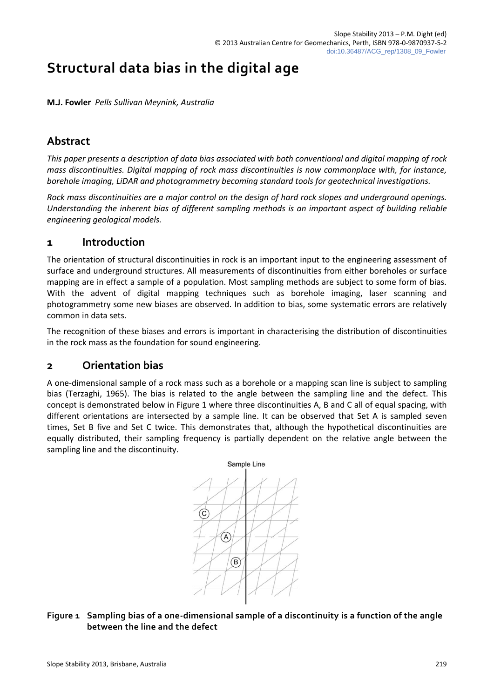# **Structural data bias in the digital age**

**M.J. Fowler** *Pells Sullivan Meynink, Australia*

## **Abstract**

*This paper presents a description of data bias associated with both conventional and digital mapping of rock mass discontinuities. Digital mapping of rock mass discontinuities is now commonplace with, for instance, borehole imaging, LiDAR and photogrammetry becoming standard tools for geotechnical investigations.*

*Rock mass discontinuities are a major control on the design of hard rock slopes and underground openings. Understanding the inherent bias of different sampling methods is an important aspect of building reliable engineering geological models.*

### **1 Introduction**

The orientation of structural discontinuities in rock is an important input to the engineering assessment of surface and underground structures. All measurements of discontinuities from either boreholes or surface mapping are in effect a sample of a population. Most sampling methods are subject to some form of bias. With the advent of digital mapping techniques such as borehole imaging, laser scanning and photogrammetry some new biases are observed. In addition to bias, some systematic errors are relatively common in data sets.

The recognition of these biases and errors is important in characterising the distribution of discontinuities in the rock mass as the foundation for sound engineering.

### **2 Orientation bias**

A one-dimensional sample of a rock mass such as a borehole or a mapping scan line is subject to sampling bias (Terzaghi, 1965). The bias is related to the angle between the sampling line and the defect. This concept is demonstrated below in Figure 1 where three discontinuities A, B and C all of equal spacing, with different orientations are intersected by a sample line. It can be observed that Set A is sampled seven times, Set B five and Set C twice. This demonstrates that, although the hypothetical discontinuities are equally distributed, their sampling frequency is partially dependent on the relative angle between the sampling line and the discontinuity.



### **Figure 1 Sampling bias of a one-dimensional sample of a discontinuity is a function of the angle between the line and the defect**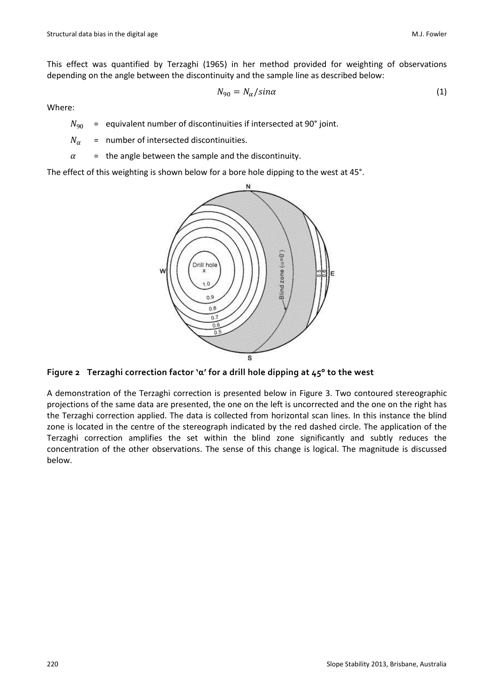This effect was quantified by Terzaghi (1965) in her method provided for weighting of observations depending on the angle between the discontinuity and the sample line as described below:

$$
N_{90} = N_{\alpha}/\sin \alpha \tag{1}
$$

Where:

- $N<sub>on</sub>$  = equivalent number of discontinuities if intersected at 90° joint.
- $N_{\alpha}$  = number of intersected discontinuities.
- $\alpha$  = the angle between the sample and the discontinuity.

The effect of this weighting is shown below for a bore hole dipping to the west at 45°.



**Figure 2 Terzaghi correction factor 'α' for a drill hole dipping at 45° to the west**

A demonstration of the Terzaghi correction is presented below in Figure 3. Two contoured stereographic projections of the same data are presented, the one on the left is uncorrected and the one on the right has the Terzaghi correction applied. The data is collected from horizontal scan lines. In this instance the blind zone is located in the centre of the stereograph indicated by the red dashed circle. The application of the Terzaghi correction amplifies the set within the blind zone significantly and subtly reduces the concentration of the other observations. The sense of this change is logical. The magnitude is discussed below.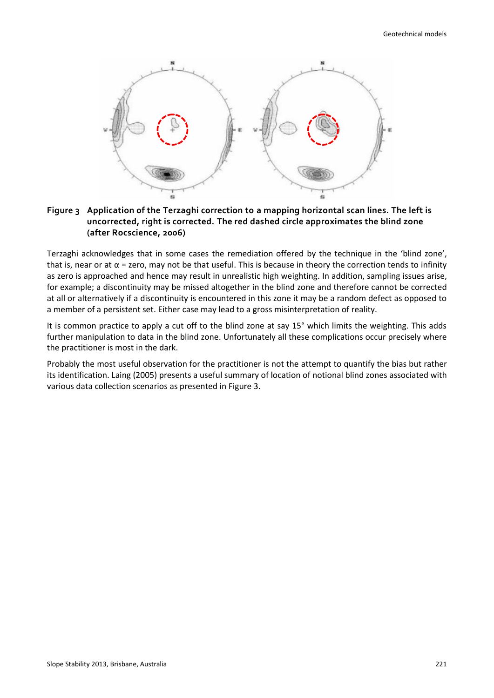

#### **Figure 3 Application of the Terzaghi correction to a mapping horizontal scan lines. The left is uncorrected, right is corrected. The red dashed circle approximates the blind zone (after Rocscience, 2006)**

Terzaghi acknowledges that in some cases the remediation offered by the technique in the 'blind zone', that is, near or at  $α =$  zero, may not be that useful. This is because in theory the correction tends to infinity as zero is approached and hence may result in unrealistic high weighting. In addition, sampling issues arise, for example; a discontinuity may be missed altogether in the blind zone and therefore cannot be corrected at all or alternatively if a discontinuity is encountered in this zone it may be a random defect as opposed to a member of a persistent set. Either case may lead to a gross misinterpretation of reality.

It is common practice to apply a cut off to the blind zone at say 15° which limits the weighting. This adds further manipulation to data in the blind zone. Unfortunately all these complications occur precisely where the practitioner is most in the dark.

Probably the most useful observation for the practitioner is not the attempt to quantify the bias but rather its identification. Laing (2005) presents a useful summary of location of notional blind zones associated with various data collection scenarios as presented in Figure 3.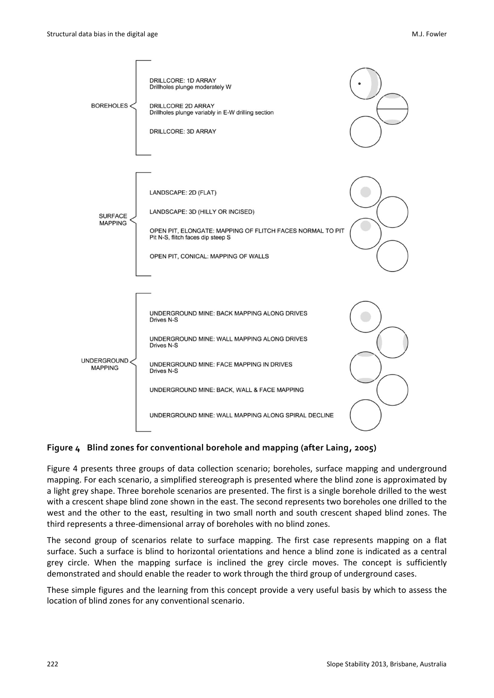

#### **Figure 4 Blind zones for conventional borehole and mapping (after Laing, 2005)**

Figure 4 presents three groups of data collection scenario; boreholes, surface mapping and underground mapping. For each scenario, a simplified stereograph is presented where the blind zone is approximated by a light grey shape. Three borehole scenarios are presented. The first is a single borehole drilled to the west with a crescent shape blind zone shown in the east. The second represents two boreholes one drilled to the west and the other to the east, resulting in two small north and south crescent shaped blind zones. The third represents a three-dimensional array of boreholes with no blind zones.

The second group of scenarios relate to surface mapping. The first case represents mapping on a flat surface. Such a surface is blind to horizontal orientations and hence a blind zone is indicated as a central grey circle. When the mapping surface is inclined the grey circle moves. The concept is sufficiently demonstrated and should enable the reader to work through the third group of underground cases.

These simple figures and the learning from this concept provide a very useful basis by which to assess the location of blind zones for any conventional scenario.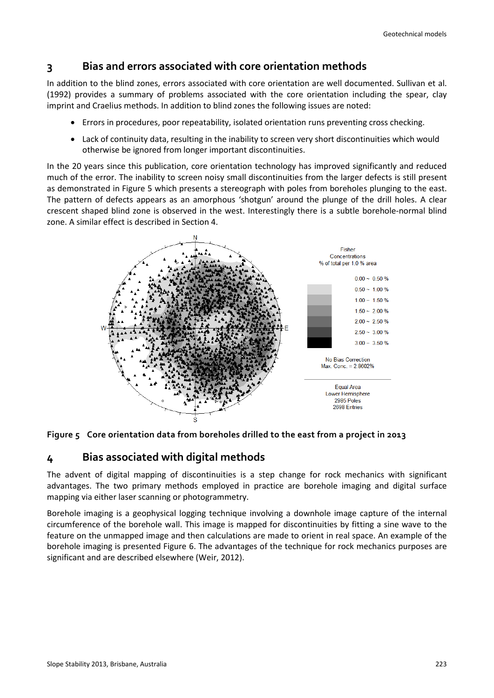# **3 Bias and errors associated with core orientation methods**

In addition to the blind zones, errors associated with core orientation are well documented. Sullivan et al. (1992) provides a summary of problems associated with the core orientation including the spear, clay imprint and Craelius methods. In addition to blind zones the following issues are noted:

- Errors in procedures, poor repeatability, isolated orientation runs preventing cross checking.
- Lack of continuity data, resulting in the inability to screen very short discontinuities which would otherwise be ignored from longer important discontinuities.

In the 20 years since this publication, core orientation technology has improved significantly and reduced much of the error. The inability to screen noisy small discontinuities from the larger defects is still present as demonstrated in Figure 5 which presents a stereograph with poles from boreholes plunging to the east. The pattern of defects appears as an amorphous 'shotgun' around the plunge of the drill holes. A clear crescent shaped blind zone is observed in the west. Interestingly there is a subtle borehole-normal blind zone. A similar effect is described in Section 4.





### **4 Bias associated with digital methods**

The advent of digital mapping of discontinuities is a step change for rock mechanics with significant advantages. The two primary methods employed in practice are borehole imaging and digital surface mapping via either laser scanning or photogrammetry.

Borehole imaging is a geophysical logging technique involving a downhole image capture of the internal circumference of the borehole wall. This image is mapped for discontinuities by fitting a sine wave to the feature on the unmapped image and then calculations are made to orient in real space. An example of the borehole imaging is presented Figure 6. The advantages of the technique for rock mechanics purposes are significant and are described elsewhere (Weir, 2012).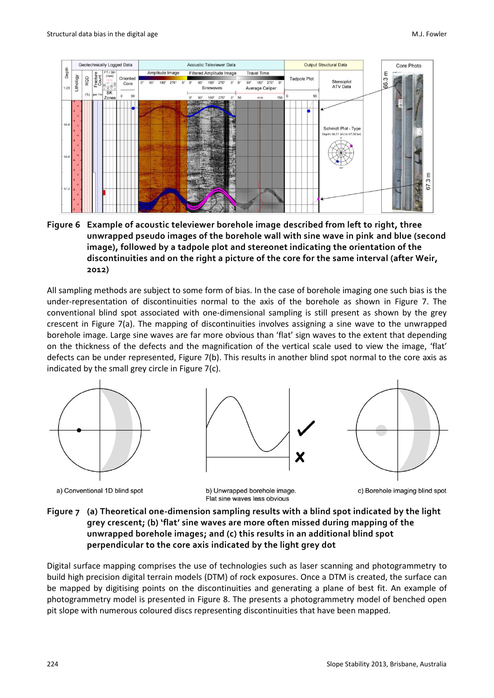

**Figure 6 Example of acoustic televiewer borehole image described from left to right, three unwrapped pseudo images of the borehole wall with sine wave in pink and blue (second image), followed by a tadpole plot and stereonet indicating the orientation of the discontinuities and on the right a picture of the core for the same interval (after Weir, 2012)**

All sampling methods are subject to some form of bias. In the case of borehole imaging one such bias is the under-representation of discontinuities normal to the axis of the borehole as shown in Figure 7. The conventional blind spot associated with one-dimensional sampling is still present as shown by the grey crescent in Figure 7(a). The mapping of discontinuities involves assigning a sine wave to the unwrapped borehole image. Large sine waves are far more obvious than 'flat' sign waves to the extent that depending on the thickness of the defects and the magnification of the vertical scale used to view the image, 'flat' defects can be under represented, Figure 7(b). This results in another blind spot normal to the core axis as indicated by the small grey circle in Figure 7(c).







a) Conventional 1D blind spot

b) Unwrapped borehole image. Flat sine waves less obvious

c) Borehole imaging blind spot

**Figure 7 (a) Theoretical one-dimension sampling results with a blind spot indicated by the light grey crescent; (b) 'flat' sine waves are more often missed during mapping of the unwrapped borehole images; and (c) this results in an additional blind spot perpendicular to the core axis indicated by the light grey dot**

Digital surface mapping comprises the use of technologies such as laser scanning and photogrammetry to build high precision digital terrain models (DTM) of rock exposures. Once a DTM is created, the surface can be mapped by digitising points on the discontinuities and generating a plane of best fit. An example of photogrammetry model is presented in Figure 8. The presents a photogrammetry model of benched open pit slope with numerous coloured discs representing discontinuities that have been mapped.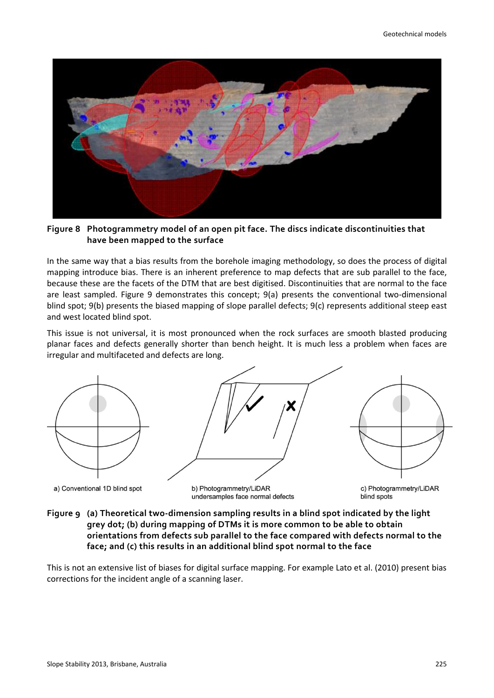

**Figure 8 Photogrammetry model of an open pit face. The discs indicate discontinuities that have been mapped to the surface**

In the same way that a bias results from the borehole imaging methodology, so does the process of digital mapping introduce bias. There is an inherent preference to map defects that are sub parallel to the face, because these are the facets of the DTM that are best digitised. Discontinuities that are normal to the face are least sampled. Figure 9 demonstrates this concept; 9(a) presents the conventional two-dimensional blind spot; 9(b) presents the biased mapping of slope parallel defects; 9(c) represents additional steep east and west located blind spot.

This issue is not universal, it is most pronounced when the rock surfaces are smooth blasted producing planar faces and defects generally shorter than bench height. It is much less a problem when faces are irregular and multifaceted and defects are long.



**Figure 9 (a) Theoretical two-dimension sampling results in a blind spot indicated by the light grey dot; (b) during mapping of DTMs it is more common to be able to obtain orientations from defects sub parallel to the face compared with defects normal to the face; and (c) this results in an additional blind spot normal to the face**

This is not an extensive list of biases for digital surface mapping. For example Lato et al. (2010) present bias corrections for the incident angle of a scanning laser.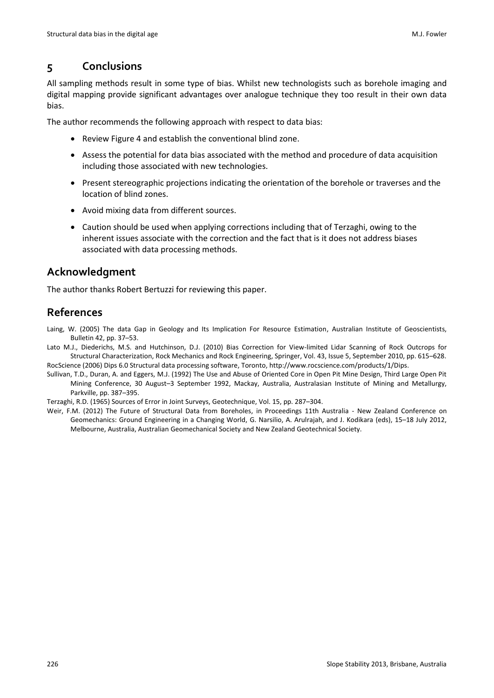## **5 Conclusions**

All sampling methods result in some type of bias. Whilst new technologists such as borehole imaging and digital mapping provide significant advantages over analogue technique they too result in their own data bias.

The author recommends the following approach with respect to data bias:

- Review Figure 4 and establish the conventional blind zone.
- Assess the potential for data bias associated with the method and procedure of data acquisition including those associated with new technologies.
- Present stereographic projections indicating the orientation of the borehole or traverses and the location of blind zones.
- Avoid mixing data from different sources.
- Caution should be used when applying corrections including that of Terzaghi, owing to the inherent issues associate with the correction and the fact that is it does not address biases associated with data processing methods.

# **Acknowledgment**

The author thanks Robert Bertuzzi for reviewing this paper.

# **References**

Laing, W. (2005) The data Gap in Geology and Its Implication For Resource Estimation, Australian Institute of Geoscientists, Bulletin 42, pp. 37–53.

- [La](http://link.springer.com/search?facet-author=%22Matthew+J.+Lato%22)to M.J., [Diederichs,](http://link.springer.com/search?facet-author=%22Mark+S.+Diederichs%22) M.S. and [Hutchinson,](http://link.springer.com/search?facet-author=%22D.+Jean+Hutchinson%22) D.J. (2010) Bias Correction for View-limited Lidar Scanning of Rock Outcrops for Structural Characterization, [Rock Mechanics and Rock Engineering,](http://link.springer.com/journal/603) Springer, Vol. 43, [Issue 5,](http://link.springer.com/journal/603/43/5/page/1) September 2010, pp. 615–628. RocScience (2006) Dips 6.0 Structural data processing software, Toronto[, http://www.rocscience.com/products/1/Dips.](http://www.rocscience.com/products/1/Dips)
- Sullivan, T.D., Duran, A. and Eggers, M.J. (1992) The Use and Abuse of Oriented Core in Open Pit Mine Design, Third Large Open Pit Mining Conference, 30 August–3 September 1992, Mackay, Australia, Australasian Institute of Mining and Metallurgy, Parkville, pp. 387–395.

Terzaghi, R.D. (1965) Sources of Error in Joint Surveys, Geotechnique, Vol. 15, pp. 287–304.

Weir, F.M. (2012) The Future of Structural Data from Boreholes, in Proceedings 11th Australia - New Zealand Conference on Geomechanics: Ground Engineering in a Changing World, G. Narsilio, A. Arulrajah, and J. Kodikara (eds), 15–18 July 2012, Melbourne, Australia, Australian Geomechanical Society and New Zealand Geotechnical Society.